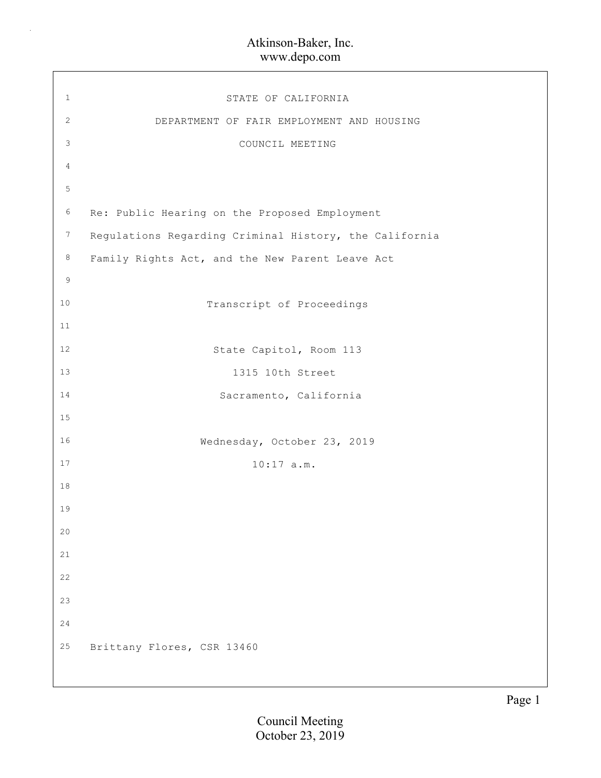$\bar{z}$ 

| $\mathbf{1}$   | STATE OF CALIFORNIA                                    |
|----------------|--------------------------------------------------------|
| $\mathbf{2}$   | DEPARTMENT OF FAIR EMPLOYMENT AND HOUSING              |
| $\mathsf 3$    | COUNCIL MEETING                                        |
| $\overline{4}$ |                                                        |
| $\mathsf S$    |                                                        |
| $6\,$          | Re: Public Hearing on the Proposed Employment          |
| $\overline{7}$ | Regulations Regarding Criminal History, the California |
| $\,8\,$        | Family Rights Act, and the New Parent Leave Act        |
| 9              |                                                        |
| $10$           | Transcript of Proceedings                              |
| 11             |                                                        |
| 12             | State Capitol, Room 113                                |
| 13             | 1315 10th Street                                       |
| 14             | Sacramento, California                                 |
| $15$           |                                                        |
| 16             | Wednesday, October 23, 2019                            |
| 17             | $10:17$ a.m.                                           |
| $18\,$         |                                                        |
| 19             |                                                        |
| 20             |                                                        |
| 21             |                                                        |
| 22             |                                                        |
| 23             |                                                        |
| 24             |                                                        |
| $25$           | Brittany Flores, CSR 13460                             |
|                |                                                        |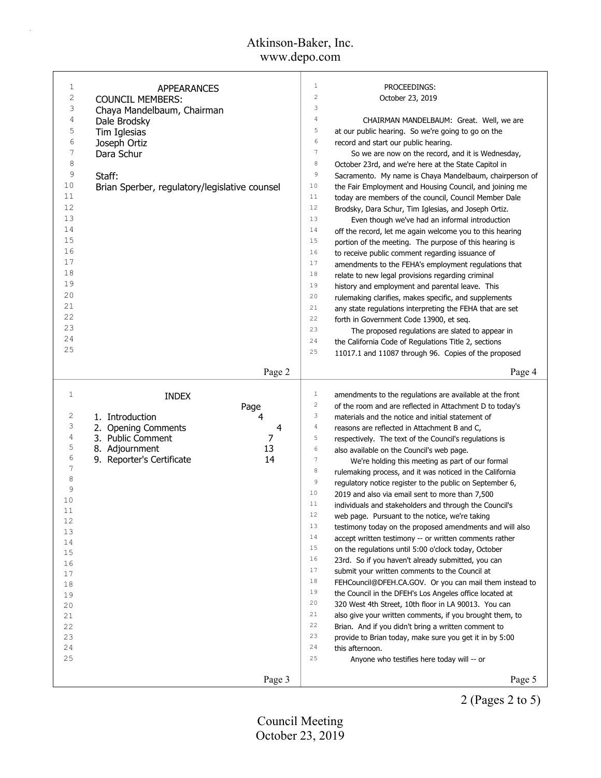| 1            | APPEARANCES                                   | 1<br>PROCEEDINGS:                                                                   |
|--------------|-----------------------------------------------|-------------------------------------------------------------------------------------|
| 2            | <b>COUNCIL MEMBERS:</b>                       | $\mathbf{2}$<br>October 23, 2019                                                    |
| 3            | Chaya Mandelbaum, Chairman                    | 3                                                                                   |
| 4            | Dale Brodsky                                  | $\overline{4}$<br>CHAIRMAN MANDELBAUM: Great. Well, we are                          |
| 5            | Tim Iglesias                                  | 5<br>at our public hearing. So we're going to go on the                             |
| 6            | Joseph Ortiz                                  | $\epsilon$<br>record and start our public hearing.                                  |
| 7            | Dara Schur                                    | $7\phantom{.0}$<br>So we are now on the record, and it is Wednesday,                |
| 8            |                                               | $\,8\,$<br>October 23rd, and we're here at the State Capitol in                     |
| 9            | Staff:                                        | $\,9$<br>Sacramento. My name is Chaya Mandelbaum, chairperson of                    |
| 10           |                                               | 10                                                                                  |
| 11           | Brian Sperber, regulatory/legislative counsel | the Fair Employment and Housing Council, and joining me<br>11                       |
| 12           |                                               | today are members of the council, Council Member Dale<br>12                         |
|              |                                               | Brodsky, Dara Schur, Tim Iglesias, and Joseph Ortiz.                                |
| 13           |                                               | 13<br>Even though we've had an informal introduction                                |
| 14           |                                               | 14<br>off the record, let me again welcome you to this hearing                      |
| 15           |                                               | 15<br>portion of the meeting. The purpose of this hearing is                        |
| 16           |                                               | 16<br>to receive public comment regarding issuance of                               |
| 17           |                                               | 17<br>amendments to the FEHA's employment regulations that                          |
| 18           |                                               | 18<br>relate to new legal provisions regarding criminal                             |
| 19           |                                               | 19<br>history and employment and parental leave. This                               |
| 20           |                                               | 20<br>rulemaking clarifies, makes specific, and supplements                         |
| 21           |                                               | 21<br>any state regulations interpreting the FEHA that are set                      |
| 22           |                                               | 22<br>forth in Government Code 13900, et seq.                                       |
| 23           |                                               | 23<br>The proposed regulations are slated to appear in                              |
| 24           |                                               | 24<br>the California Code of Regulations Title 2, sections                          |
| 25           |                                               | 25                                                                                  |
|              |                                               | 11017.1 and 11087 through 96. Copies of the proposed                                |
|              | Page 2                                        | Page 4                                                                              |
|              |                                               |                                                                                     |
|              |                                               |                                                                                     |
| $\mathbf{1}$ |                                               | $\mathbf{1}$<br>amendments to the regulations are available at the front            |
|              | <b>INDEX</b>                                  | $\overline{\mathbf{c}}$<br>of the room and are reflected in Attachment D to today's |
| 2            | Page<br>4                                     | 3<br>materials and the notice and initial statement of                              |
| 3            | 1. Introduction<br>4                          | $\overline{4}$                                                                      |
| 4            | 2. Opening Comments                           | reasons are reflected in Attachment B and C,<br>5                                   |
| 5            | 3. Public Comment<br>7                        | respectively. The text of the Council's regulations is<br>6                         |
| 6            | 8. Adjournment<br>13                          | also available on the Council's web page.                                           |
| 7            | 9. Reporter's Certificate<br>14               | $\boldsymbol{7}$<br>We're holding this meeting as part of our formal                |
| 8            |                                               | 8<br>rulemaking process, and it was noticed in the California                       |
| 9            |                                               | $\mathsf 9$<br>regulatory notice register to the public on September 6,             |
| 10           |                                               | 10<br>2019 and also via email sent to more than 7,500                               |
| 11           |                                               | 11<br>individuals and stakeholders and through the Council's                        |
|              |                                               | 12<br>web page. Pursuant to the notice, we're taking                                |
| 12<br>13     |                                               | 13<br>testimony today on the proposed amendments and will also                      |
| 14           |                                               | 14<br>accept written testimony -- or written comments rather                        |
|              |                                               | 15<br>on the regulations until 5:00 o'clock today, October                          |
| 15<br>16     |                                               | 16<br>23rd. So if you haven't already submitted, you can                            |
| 17           |                                               | 17<br>submit your written comments to the Council at                                |
| 18           |                                               | 18<br>FEHCouncil@DFEH.CA.GOV. Or you can mail them instead to                       |
| 19           |                                               | 19<br>the Council in the DFEH's Los Angeles office located at                       |
| 20           |                                               | 20<br>320 West 4th Street, 10th floor in LA 90013. You can                          |
|              |                                               | 21                                                                                  |
| 21           |                                               | also give your written comments, if you brought them, to<br>22                      |
| 22           |                                               | Brian. And if you didn't bring a written comment to<br>23                           |
| 23           |                                               | provide to Brian today, make sure you get it in by 5:00<br>24                       |
| 24           |                                               | this afternoon.<br>25                                                               |
| 25           |                                               | Anyone who testifies here today will -- or                                          |

2 (Pages 2 to 5)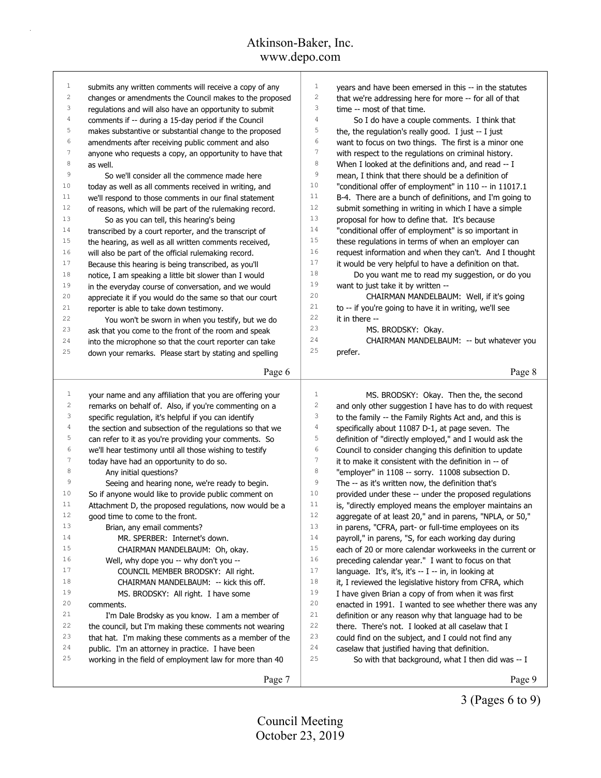| $\mathbf{1}$     | submits any written comments will receive a copy of any     | $\mathbf{1}$<br>years and have been emersed in this -- in the statutes                                                 |
|------------------|-------------------------------------------------------------|------------------------------------------------------------------------------------------------------------------------|
| $\overline{c}$   | changes or amendments the Council makes to the proposed     | 2<br>that we're addressing here for more -- for all of that                                                            |
| 3                | regulations and will also have an opportunity to submit     | 3<br>time -- most of that time.                                                                                        |
| 4                | comments if -- during a 15-day period if the Council        | $\sqrt{4}$<br>So I do have a couple comments. I think that                                                             |
| 5                | makes substantive or substantial change to the proposed     | 5<br>the, the regulation's really good. I just -- I just                                                               |
| 6                | amendments after receiving public comment and also          | 6<br>want to focus on two things. The first is a minor one                                                             |
| $\boldsymbol{7}$ | anyone who requests a copy, an opportunity to have that     | 7<br>with respect to the regulations on criminal history.                                                              |
| 8                | as well.                                                    | 8<br>When I looked at the definitions and, and read -- I                                                               |
| 9                | So we'll consider all the commence made here                | 9<br>mean, I think that there should be a definition of                                                                |
| 10               | today as well as all comments received in writing, and      | 10<br>"conditional offer of employment" in 110 -- in 11017.1                                                           |
| 11               | we'll respond to those comments in our final statement      | 11<br>B-4. There are a bunch of definitions, and I'm going to                                                          |
| 12               | of reasons, which will be part of the rulemaking record.    | 12<br>submit something in writing in which I have a simple                                                             |
| 13               | So as you can tell, this hearing's being                    | 13<br>proposal for how to define that. It's because                                                                    |
| 14               | transcribed by a court reporter, and the transcript of      | 14<br>"conditional offer of employment" is so important in                                                             |
| 15               | the hearing, as well as all written comments received,      | 15<br>these regulations in terms of when an employer can                                                               |
| 16               | will also be part of the official rulemaking record.        | 16<br>request information and when they can't. And I thought                                                           |
| 17               | Because this hearing is being transcribed, as you'll        | 17<br>it would be very helpful to have a definition on that.                                                           |
| 18               | notice, I am speaking a little bit slower than I would      | 18<br>Do you want me to read my suggestion, or do you                                                                  |
| 19               | in the everyday course of conversation, and we would        | 19<br>want to just take it by written --                                                                               |
| 20               | appreciate it if you would do the same so that our court    | 20<br>CHAIRMAN MANDELBAUM: Well, if it's going                                                                         |
| 21               | reporter is able to take down testimony.                    | 21<br>to -- if you're going to have it in writing, we'll see                                                           |
| 22               | You won't be sworn in when you testify, but we do           | 22<br>it in there --                                                                                                   |
| 23               | ask that you come to the front of the room and speak        | 23<br>MS. BRODSKY: Okay.                                                                                               |
| 24               | into the microphone so that the court reporter can take     | 24<br>CHAIRMAN MANDELBAUM: -- but whatever you                                                                         |
| 25               | down your remarks. Please start by stating and spelling     | 25<br>prefer.                                                                                                          |
|                  |                                                             |                                                                                                                        |
|                  | Page 6                                                      | Page 8                                                                                                                 |
|                  |                                                             |                                                                                                                        |
|                  |                                                             |                                                                                                                        |
| $\mathbf{1}$     | your name and any affiliation that you are offering your    | $\mathbf{1}$<br>MS. BRODSKY: Okay. Then the, the second                                                                |
| $\overline{c}$   | remarks on behalf of. Also, if you're commenting on a       | 2<br>and only other suggestion I have has to do with request                                                           |
| 3                | specific regulation, it's helpful if you can identify       | 3<br>to the family -- the Family Rights Act and, and this is                                                           |
| 4                | the section and subsection of the regulations so that we    | 4<br>specifically about 11087 D-1, at page seven. The                                                                  |
| 5                | can refer to it as you're providing your comments. So       | 5<br>definition of "directly employed," and I would ask the                                                            |
| 6                | we'll hear testimony until all those wishing to testify     | 6<br>Council to consider changing this definition to update                                                            |
| 7                | today have had an opportunity to do so.                     | 7<br>it to make it consistent with the definition in -- of                                                             |
| 8                | Any initial questions?                                      | 8                                                                                                                      |
| 9                | Seeing and hearing none, we're ready to begin.              | "employer" in 1108 -- sorry. 11008 subsection D.<br>9<br>The -- as it's written now, the definition that's             |
| 10               | So if anyone would like to provide public comment on        | 10                                                                                                                     |
| 11               | Attachment D, the proposed regulations, now would be a      | provided under these -- under the proposed regulations<br>11<br>is, "directly employed means the employer maintains an |
| 12               | good time to come to the front.                             | 12                                                                                                                     |
| 13               |                                                             | aggregate of at least 20," and in parens, "NPLA, or 50,"<br>13                                                         |
| 14               | Brian, any email comments?<br>MR. SPERBER: Internet's down. | in parens, "CFRA, part- or full-time employees on its<br>14                                                            |
| 15               | CHAIRMAN MANDELBAUM: Oh, okay.                              | payroll," in parens, "S, for each working day during<br>15<br>each of 20 or more calendar workweeks in the current or  |
| 16               |                                                             | 16                                                                                                                     |
| 17               | Well, why dope you -- why don't you --                      | preceding calendar year." I want to focus on that<br>17                                                                |
| 18               | COUNCIL MEMBER BRODSKY: All right.                          | language. It's, it's, it's -- I -- in, in looking at<br>18                                                             |
| 19               | CHAIRMAN MANDELBAUM: -- kick this off.                      | it, I reviewed the legislative history from CFRA, which<br>19                                                          |
| 20               | MS. BRODSKY: All right. I have some                         | I have given Brian a copy of from when it was first<br>20                                                              |
| 21               | comments.                                                   | enacted in 1991. I wanted to see whether there was any<br>21                                                           |
| 22               | I'm Dale Brodsky as you know. I am a member of              | definition or any reason why that language had to be<br>22                                                             |
| 23               | the council, but I'm making these comments not wearing      | there. There's not. I looked at all caselaw that I<br>23                                                               |
| 24               | that hat. I'm making these comments as a member of the      | could find on the subject, and I could not find any<br>24                                                              |
| 25               | public. I'm an attorney in practice. I have been            | caselaw that justified having that definition.<br>25                                                                   |
|                  | working in the field of employment law for more than 40     | So with that background, what I then did was -- I                                                                      |

3 (Pages 6 to 9)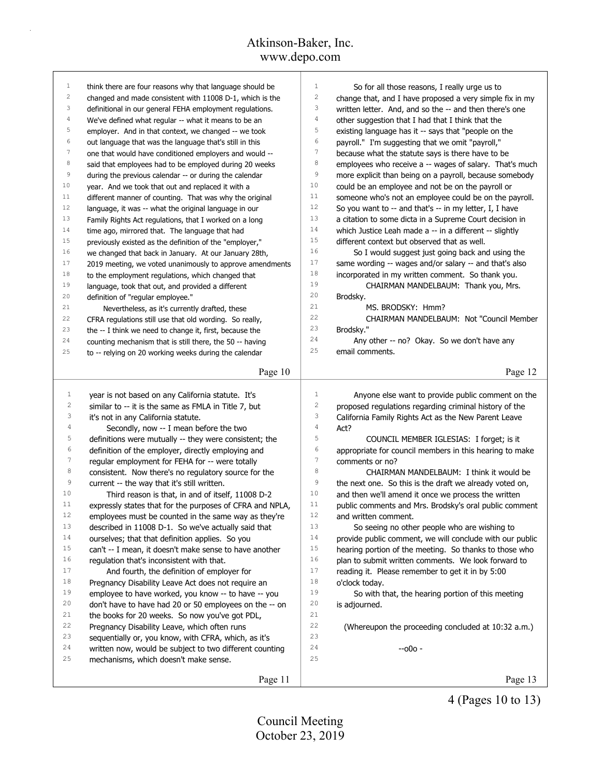|                     | think there are four reasons why that language should be | 1                | So for all those reasons, I really urge us to            |
|---------------------|----------------------------------------------------------|------------------|----------------------------------------------------------|
| 1<br>$\overline{c}$ |                                                          | $\overline{c}$   |                                                          |
| 3                   | changed and made consistent with 11008 D-1, which is the | 3                | change that, and I have proposed a very simple fix in my |
| 4                   | definitional in our general FEHA employment regulations. | $\overline{4}$   | written letter. And, and so the -- and then there's one  |
| 5                   | We've defined what regular -- what it means to be an     | $\mathsf S$      | other suggestion that I had that I think that the        |
| 6                   | employer. And in that context, we changed -- we took     | $\epsilon$       | existing language has it -- says that "people on the     |
| 7                   | out language that was the language that's still in this  | 7                | payroll." I'm suggesting that we omit "payroll,"         |
|                     | one that would have conditioned employers and would --   | 8                | because what the statute says is there have to be        |
| 8                   | said that employees had to be employed during 20 weeks   | 9                | employees who receive a -- wages of salary. That's much  |
| 9                   | during the previous calendar -- or during the calendar   |                  | more explicit than being on a payroll, because somebody  |
| 10                  | year. And we took that out and replaced it with a        | 10               | could be an employee and not be on the payroll or        |
| 11                  | different manner of counting. That was why the original  | 11               | someone who's not an employee could be on the payroll.   |
| 12                  | language, it was -- what the original language in our    | 12               | So you want to -- and that's -- in my letter, I, I have  |
| 13                  | Family Rights Act regulations, that I worked on a long   | 13               | a citation to some dicta in a Supreme Court decision in  |
| 14                  | time ago, mirrored that. The language that had           | 14               | which Justice Leah made a -- in a different -- slightly  |
| 15                  | previously existed as the definition of the "employer,"  | 15               | different context but observed that as well.             |
| 16                  | we changed that back in January. At our January 28th,    | 16               | So I would suggest just going back and using the         |
| 17                  | 2019 meeting, we voted unanimously to approve amendments | 17               | same wording -- wages and/or salary -- and that's also   |
| 18                  | to the employment regulations, which changed that        | 18               | incorporated in my written comment. So thank you.        |
| 19                  | language, took that out, and provided a different        | 19               | CHAIRMAN MANDELBAUM: Thank you, Mrs.                     |
| 20                  | definition of "regular employee."                        | 20               | Brodsky.                                                 |
| 21                  | Nevertheless, as it's currently drafted, these           | 21               | MS. BRODSKY: Hmm?                                        |
| 22                  | CFRA regulations still use that old wording. So really,  | 22               | CHAIRMAN MANDELBAUM: Not "Council Member                 |
| 23                  | the -- I think we need to change it, first, because the  | 23               | Brodsky."                                                |
| 24                  | counting mechanism that is still there, the 50 -- having | 24               | Any other -- no? Okay. So we don't have any              |
| 25                  | to -- relying on 20 working weeks during the calendar    | 25               | email comments.                                          |
|                     |                                                          |                  |                                                          |
|                     | Page 10                                                  |                  | Page 12                                                  |
| $\mathbf{1}$        |                                                          | $\mathbf{1}$     |                                                          |
| 2                   | year is not based on any California statute. It's        | 2                | Anyone else want to provide public comment on the        |
| 3                   | similar to -- it is the same as FMLA in Title 7, but     |                  | proposed regulations regarding criminal history of the   |
|                     | it's not in any California statute.                      |                  |                                                          |
|                     |                                                          | 3                | California Family Rights Act as the New Parent Leave     |
| 4                   | Secondly, now -- I mean before the two                   | $\sqrt{4}$       | Act?                                                     |
| 5                   | definitions were mutually -- they were consistent; the   | 5                | COUNCIL MEMBER IGLESIAS: I forget; is it                 |
| 6                   | definition of the employer, directly employing and       | 6                | appropriate for council members in this hearing to make  |
| $\overline{7}$      | regular employment for FEHA for -- were totally          | $\boldsymbol{7}$ | comments or no?                                          |
| 8                   | consistent. Now there's no regulatory source for the     | 8                | CHAIRMAN MANDELBAUM: I think it would be                 |
| 9                   | current -- the way that it's still written.              | 9                | the next one. So this is the draft we already voted on,  |
| 10                  | Third reason is that, in and of itself, 11008 D-2        | 10               | and then we'll amend it once we process the written      |
| 11                  | expressly states that for the purposes of CFRA and NPLA, | 11               | public comments and Mrs. Brodsky's oral public comment   |
| 12                  | employees must be counted in the same way as they're     | 12               | and written comment.                                     |
| 13                  | described in 11008 D-1. So we've actually said that      | 13               | So seeing no other people who are wishing to             |
| 14                  | ourselves; that that definition applies. So you          | 14               | provide public comment, we will conclude with our public |
| 15                  | can't -- I mean, it doesn't make sense to have another   | 15               | hearing portion of the meeting. So thanks to those who   |
| 16                  | regulation that's inconsistent with that.                | 16               | plan to submit written comments. We look forward to      |
| 17                  | And fourth, the definition of employer for               | 17               | reading it. Please remember to get it in by 5:00         |
| 18                  | Pregnancy Disability Leave Act does not require an       | 18               | o'clock today.                                           |
| 19                  | employee to have worked, you know -- to have -- you      | 19               | So with that, the hearing portion of this meeting        |
| 20                  | don't have to have had 20 or 50 employees on the -- on   | 20               | is adjourned.                                            |
| 21                  | the books for 20 weeks. So now you've got PDL,           | 21               |                                                          |
| 22                  | Pregnancy Disability Leave, which often runs             | 22               | (Whereupon the proceeding concluded at 10:32 a.m.)       |
| 23                  | sequentially or, you know, with CFRA, which, as it's     | 23               |                                                          |
| 24                  | written now, would be subject to two different counting  | 24               | $-000 -$                                                 |
| 25                  | mechanisms, which doesn't make sense.                    | 25               |                                                          |
|                     | Page 11                                                  |                  | Page 13                                                  |

4 (Pages 10 to 13)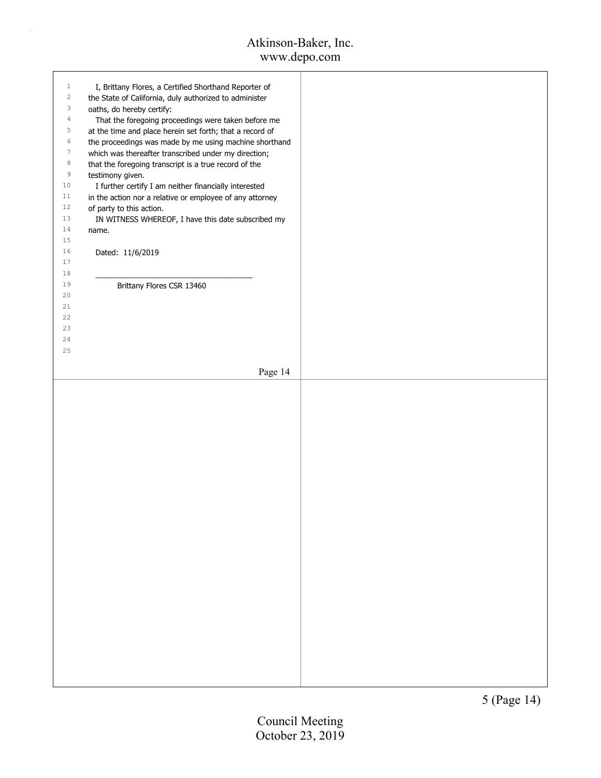| $\mathbf{1}$   | I, Brittany Flores, a Certified Shorthand Reporter of    |  |
|----------------|----------------------------------------------------------|--|
| $\overline{c}$ | the State of California, duly authorized to administer   |  |
| 3              | oaths, do hereby certify:                                |  |
| $\sqrt{4}$     |                                                          |  |
|                | That the foregoing proceedings were taken before me      |  |
| 5              | at the time and place herein set forth; that a record of |  |
| 6              | the proceedings was made by me using machine shorthand   |  |
| $\tau$         | which was thereafter transcribed under my direction;     |  |
| $^{\rm 8}$     | that the foregoing transcript is a true record of the    |  |
| $\,9$          | testimony given.                                         |  |
| $1\,0$         |                                                          |  |
|                | I further certify I am neither financially interested    |  |
| 11             | in the action nor a relative or employee of any attorney |  |
| $12\,$         | of party to this action.                                 |  |
| 13             | IN WITNESS WHEREOF, I have this date subscribed my       |  |
| 14             | name.                                                    |  |
| $15\,$         |                                                          |  |
| 16             | Dated: 11/6/2019                                         |  |
| $17\,$         |                                                          |  |
|                |                                                          |  |
| $1\,8$         |                                                          |  |
| 19             | Brittany Flores CSR 13460                                |  |
| 20             |                                                          |  |
| 21             |                                                          |  |
| 22             |                                                          |  |
| 23             |                                                          |  |
| 24             |                                                          |  |
| 25             |                                                          |  |
|                |                                                          |  |
|                |                                                          |  |
|                | Page 14                                                  |  |
|                |                                                          |  |
|                |                                                          |  |
|                |                                                          |  |
|                |                                                          |  |
|                |                                                          |  |
|                |                                                          |  |
|                |                                                          |  |
|                |                                                          |  |
|                |                                                          |  |
|                |                                                          |  |
|                |                                                          |  |
|                |                                                          |  |
|                |                                                          |  |
|                |                                                          |  |
|                |                                                          |  |
|                |                                                          |  |
|                |                                                          |  |
|                |                                                          |  |
|                |                                                          |  |
|                |                                                          |  |
|                |                                                          |  |
|                |                                                          |  |
|                |                                                          |  |
|                |                                                          |  |
|                |                                                          |  |
|                |                                                          |  |
|                |                                                          |  |
|                |                                                          |  |
|                |                                                          |  |
|                |                                                          |  |
|                |                                                          |  |
|                |                                                          |  |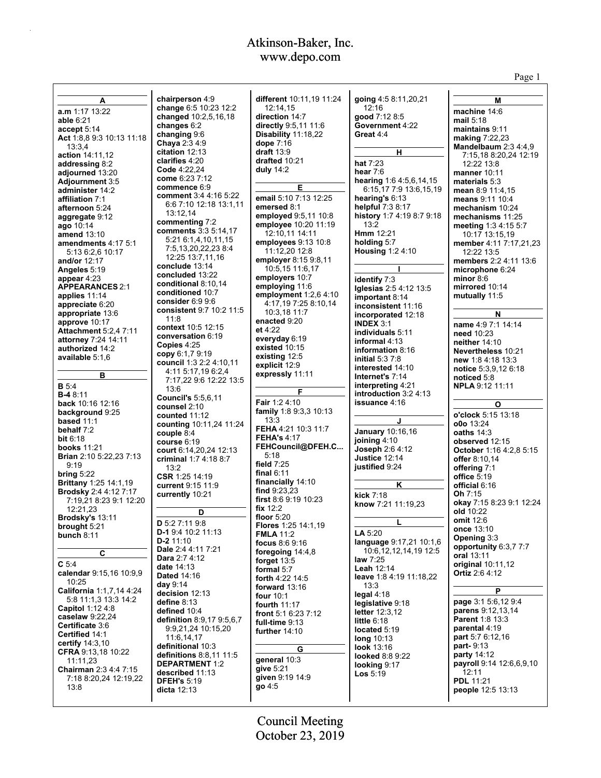|                                              |                                                        |                                         |                                          | Page 1                                    |
|----------------------------------------------|--------------------------------------------------------|-----------------------------------------|------------------------------------------|-------------------------------------------|
|                                              |                                                        |                                         |                                          |                                           |
| А                                            | chairperson 4:9<br>change 6:5 10:23 12:2               | different 10:11,19 11:24<br>12:14,15    | going 4:5 8:11,20,21<br>12:16            | М                                         |
| a.m 1:17 13:22<br>able 6:21                  | changed 10:2,5,16,18                                   | direction 14:7                          | good 7:12 8:5                            | machine 14:6<br>mail 5:18                 |
| accept 5:14                                  | changes 6:2                                            | directly 9:5,11 11:6                    | Government 4:22                          | maintains 9:11                            |
| Act 1:8,8 9:3 10:13 11:18                    | changing 9:6                                           | Disability 11:18,22                     | Great 4:4                                | <b>making 7:22,23</b>                     |
| 13:3.4                                       | Chaya 2:3 4:9                                          | dope 7:16                               |                                          | Mandelbaum 2:3 4:4,9                      |
| action 14:11,12                              | citation 12:13<br>clarifies 4:20                       | draft $13:9$<br>drafted 10:21           | н                                        | 7:15,18 8:20,24 12:19                     |
| addressing 8:2                               | Code 4:22,24                                           | duly 14:2                               | hat 7:23                                 | 12:22 13:8                                |
| adjourned 13:20<br>Adjournment 3:5           | come 6:23 7:12                                         |                                         | hear $7:6$<br>hearing 1:6 4:5,6,14,15    | manner 10:11<br>materials 5:3             |
| administer 14:2                              | commence 6:9                                           | Е                                       | 6:15,17 7:9 13:6,15,19                   | mean $8.911.4,15$                         |
| affiliation 7:1                              | comment 3:4 4:16 5:22                                  | email 5:10 7:13 12:25                   | hearing's $6:13$                         | means 9:11 10:4                           |
| afternoon 5:24                               | 6.6 7:10 12:18 13:1.11                                 | emersed 8:1                             | helpful 7:3 8:17                         | mechanism 10:24                           |
| aggregate 9:12                               | 13:12,14<br>commenting 7:2                             | employed 9:5,11 10:8                    | history 1:7 4:19 8:7 9:18                | mechanisms 11:25                          |
| ago 10:14                                    | comments 3:3 5:14,17                                   | employee 10:20 11:19<br>12:10,11 14:11  | 13:2<br><b>Hmm</b> 12:21                 | meeting 1:3 4:15 5:7                      |
| <b>amend 13:10</b><br>amendments 4:17 5:1    | 5:21 6:1,4,10,11,15                                    | employees 9:13 10:8                     | holding 5:7                              | 10:17 13:15,19<br>member 4:11 7:17,21,23  |
| 5:13 6:2.6 10:17                             | 7:5,13,20,22,23 8:4                                    | 11:12,20 12:8                           | <b>Housing 1:2 4:10</b>                  | 12:22 13:5                                |
| and/or 12:17                                 | 12:25 13:7,11,16                                       | employer 8:15 9:8,11                    |                                          | members 2:2 4:11 13:6                     |
| Angeles 5:19                                 | conclude 13:14<br>concluded 13:22                      | 10:5,15 11:6,17                         |                                          | microphone 6:24                           |
| appear $4:23$                                | conditional 8:10,14                                    | employers 10:7                          | identify 7:3                             | minor $8:6$                               |
| <b>APPEARANCES 2:1</b>                       | conditioned 10:7                                       | employing 11:6<br>employment 1:2,6 4:10 | Iglesias 2:5 4:12 13:5                   | mirrored 10:14                            |
| applies 11:14<br>appreciate 6:20             | consider $6.99.6$                                      | 4:17,197:258:10,14                      | important 8:14                           | mutually 11:5                             |
| appropriate 13:6                             | consistent 9:7 10:2 11:5                               | 10:3,18 11:7                            | inconsistent 11:16<br>incorporated 12:18 | N                                         |
| approve 10:17                                | 11:8                                                   | enacted 9:20                            | <b>INDEX 3:1</b>                         | name 4:9 7:1 14:14                        |
| <b>Attachment 5:2.4 7:11</b>                 | context 10:5 12:15<br>conversation 6:19                | et 4:22                                 | individuals 5:11                         | need 10:23                                |
| attorney 7:24 14:11                          | Copies $4:25$                                          | everyday 6:19                           | informal 4:13                            | neither 14:10                             |
| authorized 14:2                              | copy 6:1.7 9:19                                        | existed 10:15<br>existing 12:5          | information 8:16                         | <b>Nevertheless 10:21</b>                 |
| available 5:1.6                              | council 1:3 2:2 4:10,11                                | explicit 12:9                           | initial $5.37.8$                         | new 1.8 4.18 13.3                         |
| в                                            | 4:11 5:17,19 6:2,4                                     | expressly 11:11                         | interested 14:10<br>Internet's 7:14      | notice 5:3,9,12 6:18<br>noticed 5:8       |
| <b>B</b> 5:4                                 | 7:17,22 9:6 12:22 13:5                                 |                                         | interpreting 4:21                        | <b>NPLA 9:12 11:11</b>                    |
| <b>B-4</b> 8:11                              | 13:6<br><b>Council's 5:5,6,11</b>                      | F                                       | introduction 3:2 4:13                    |                                           |
| back 10:16 12:16                             | counsel 2:10                                           | Fair 1:2 4:10                           | <b>issuance 4:16</b>                     | О                                         |
| background 9:25                              | counted 11:12                                          | family 1:8 9:3,3 10:13                  |                                          | o'clock 5:15 13:18                        |
| based $11:1$<br>behalf 7:2                   | counting 10:11,24 11:24                                | 13:3<br>FEHA 4:21 10:3 11:7             | J                                        | o0o 13:24                                 |
| bit $6:18$                                   | couple 8:4                                             | <b>FEHA's 4:17</b>                      | January 10:16,16<br>joining 4:10         | oaths $14:3$                              |
| <b>books</b> 11:21                           | course 6:19<br>court 6:14,20,24 12:13                  | FEHCouncil@DFEH.C                       | Joseph 2:6 4:12                          | observed 12:15<br>October 1:16 4:2,8 5:15 |
| Brian 2:10 5:22,23 7:13                      | criminal 1:7 4:18 8:7                                  | 5:18                                    | <b>Justice 12:14</b>                     | offer $8:10,14$                           |
| 9:19                                         | 13:2                                                   | field $7:25$                            | justified 9:24                           | offering 7:1                              |
| bring $5:22$<br>Brittany 1:25 14:1,19        | CSR 1:25 14:19                                         | final $6:11$<br>financially 14:10       |                                          | office 5:19                               |
| <b>Brodsky 2:4 4:12 7:17</b>                 | current 9:15 11:9                                      | find $9:23,23$                          | ĸ                                        | official 6:16                             |
| 7:19,21 8:23 9:1 12:20                       | currently 10:21                                        | first $8.69.1910.23$                    | kick 7:18                                | Oh $7:15$<br>okay 7:15 8:23 9:1 12:24     |
| 12:21,23                                     | D                                                      | fix $12:2$                              | know 7:21 11:19,23                       | old 10:22                                 |
| Brodsky's 13:11                              | D 5:27:1198                                            | floor $5:20$                            | L                                        | omit 12:6                                 |
| brought 5:21                                 | D-1 9:4 10:2 11:13                                     | Flores 1:25 14:1.19<br><b>FMLA</b> 11:2 | LA $5:20$                                | once 13:10                                |
| bunch $8:11$                                 | $D-2$ 11:10                                            | focus $8:69:16$                         | language 9:17,21 10:1,6                  | Opening 3:3                               |
| C                                            | Dale 2:4 4:11 7:21                                     | foregoing 14:4,8                        | 10:6, 12, 12, 14, 19 12:5                | opportunity 6:3,7 7:7<br>oral 13:11       |
| C <sub>5:4</sub>                             | Dara 2:7 4:12                                          | forget $13:5$                           | law $7:25$                               | original 10:11,12                         |
| calendar 9:15,16 10:9,9                      | <b>date</b> 14:13<br><b>Dated 14:16</b>                | formal 5:7                              | Leah 12:14                               | <b>Ortiz</b> 2:6 4:12                     |
| 10:25                                        | day $9:14$                                             | forth 4:22 14:5                         | leave 1:8 4:19 11:18,22<br>13:3          |                                           |
| California 1:1,7,14 4:24                     | decision 12:13                                         | forward 13:16<br><b>four</b> 10:1       | legal $4:18$                             | P                                         |
| 5:8 11:1.3 13:3 14:2                         | define $8:13$                                          | <b>fourth 11:17</b>                     | legislative 9:18                         | page 3:1 5:6,12 9:4                       |
| <b>Capitol 1:12 4:8</b><br>caselaw $9:22.24$ | defined 10:4                                           | front 5:1 6:23 7:12                     | letter 12:3,12                           | <b>parens</b> 9:12,13,14                  |
| Certificate 3:6                              | <b>definition</b> 8:9,17 9:5,6,7<br>9:9,21,24 10:15,20 | full-time 9:13                          | little $6:18$                            | <b>Parent 1:8 13:3</b><br>parental 4:19   |
| Certified 14:1                               | 11:6,14,17                                             | further 14:10                           | located 5:19<br>long $10:13$             | part 5:7 6:12,16                          |
| certify $14:3,10$                            | definitional 10:3                                      | G                                       | look 13:16                               | part-9:13                                 |
| <b>CFRA</b> 9:13,18 10:22                    | definitions 8:8,11 11:5                                | general 10:3                            | <b>looked 8:8 9:22</b>                   | party 14:12                               |
| 11:11,23<br>Chairman 2:3 4:4 7:15            | <b>DEPARTMENT 1:2</b>                                  | give 5:21                               | looking 9:17                             | payroll 9:14 12:6,6,9,10                  |
| 7:18 8:20,24 12:19,22                        | described 11:13<br><b>DFEH's 5:19</b>                  | given 9:19 14:9                         | Los 5:19                                 | 12:11<br><b>PDL 11:21</b>                 |
| 13:8                                         | dicta $12:13$                                          | go 4:5                                  |                                          | <b>people</b> 12:5 13:13                  |
|                                              |                                                        |                                         |                                          |                                           |

October 23, 2019 Council Meeting